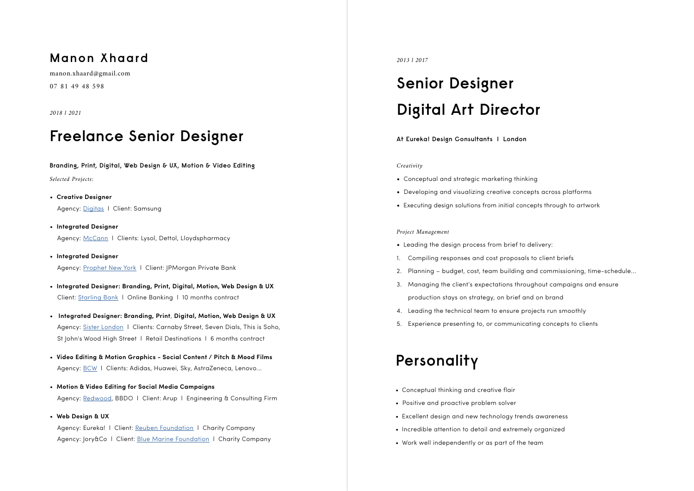### **Manon Xhaard**

manon.xhaard@gmail.com

07 81 49 48 598

*2018 l 2021*

# **Freelance Senior Designer**

#### **Branding, Print, Digital, Web Design & UX, Motion & Video Editing**

*Selected Projects:*

- **Creative Designer** Agency: Digitas l Client: Samsung
- **Integrated Designer** Agency: [McCann](https://www.mccannlondon.com/) | Clients: Lysol, Dettol, Lloydspharmacy
- **Integrated Designer** Agency: [Prophet New York](https://www.prophet.com/) l Client: JPMorgan Private Bank
- **Integrated Designer: Branding, Print, Digital, Motion, Web Design & UX** Client: [Starling Bank](https://www.starlingbank.com/) l Online Banking l 10 months contract
- **Integrated Designer: Branding, Print**, **Digital, Motion, Web Design & UX** Agency: [Sister London](https://sisterlondon.com/) l Clients: Carnaby Street, Seven Dials, This is Soho, St John's Wood High Street l Retail Destinations l 6 months contract
- **Video Editing & Motion Graphics Social Content / Pitch & Mood Films** Agency: [BCW](https://bcw-global.com/) | Clients: Adidas, Huawei, Sky, AstraZeneca, Lenovo...
- **Motion & Video Editing for Social Media Campaigns** Agency: [Redwood](https://redwoodbbdo.com/), BBDO | Client: Arup | Engineering & Consulting Firm
- **Web Design & UX**

Agency: Eureka! | Client: [Reuben Foundation](https://www.reubenfoundation.com/home/) | Charity Company Agency: Jory&Co l Client: [Blue Marine Foundation](https://www.bluemarinefoundation.com/) l Charity Company

#### *2013 l 2017*

# **Senior Designer Digital Art Director**

**At Eureka! Design Consultants l London** 

#### *Creativity*

- Conceptual and strategic marketing thinking
- Developing and visualizing creative concepts across platforms
- Executing design solutions from initial concepts through to artwork

#### *Project Management*

- Leading the design process from brief to delivery:
- 1. Compiling responses and cost proposals to client briefs
- 2. Planning budget, cost, team building and commissioning, time-schedule...
- 3. Managing the client's expectations throughout campaigns and ensure production stays on strategy, on brief and on brand
- 4. Leading the technical team to ensure projects run smoothly
- 5. Experience presenting to, or communicating concepts to clients

# **Personality**

- Conceptual thinking and creative flair
- Positive and proactive problem solver
- Excellent design and new technology trends awareness
- Incredible attention to detail and extremely organized
- Work well independently or as part of the team